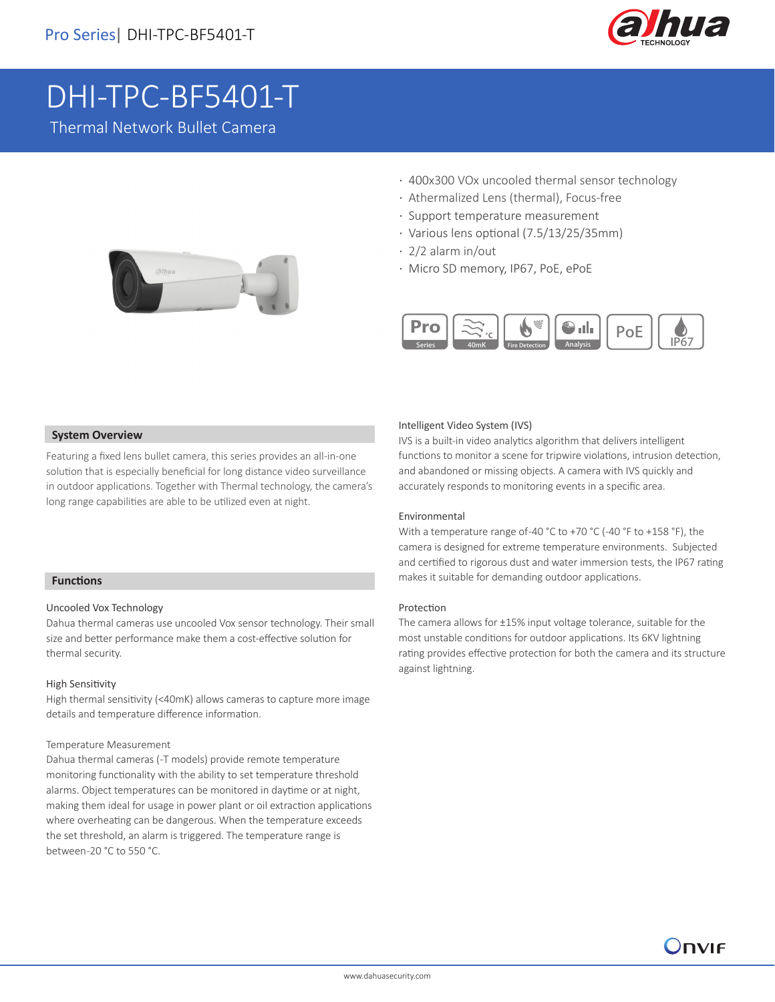

# DHI-TPC-BF5401-T

Thermal Network Bullet Camera



- · 400x300 VOx uncooled thermal sensor technology
- · Athermalized Lens (thermal), Focus-free
- · Support temperature measurement
- · Various lens optional (7.5/13/25/35mm)
- · 2/2 alarm in/out
- · Micro SD memory, IP67, PoE, ePoE



#### **System Overview**

Featuring a fixed lens bullet camera, this series provides an all-in-one solution that is especially beneficial for long distance video surveillance in outdoor applications. Together with Thermal technology, the camera's long range capabilities are able to be utilized even at night.

#### **Functions**

I

#### Uncooled Vox Technology

Dahua thermal cameras use uncooled Vox sensor technology. Their small size and better performance make them a cost-effective solution for thermal security.

#### High Sensitivity

High thermal sensitivity (<40mK) allows cameras to capture more image details and temperature difference information.

#### Temperature Measurement

Dahua thermal cameras (-T models) provide remote temperature monitoring functionality with the ability to set temperature threshold alarms. Object temperatures can be monitored in daytime or at night, making them ideal for usage in power plant or oil extraction applications where overheating can be dangerous. When the temperature exceeds the set threshold, an alarm is triggered. The temperature range is between -20 °C to 550 °C.

## Intelligent Video System (IVS)

IVS is a built-in video analytics algorithm that delivers intelligent functions to monitor a scene for tripwire violations, intrusion detection, and abandoned or missing objects. A camera with IVS quickly and accurately responds to monitoring events in a specific area.

#### Environmental

With a temperature range of -40 °C to +70 °C (-40 °F to +158 °F), the camera is designed for extreme temperature environments. Subjected and certified to rigorous dust and water immersion tests, the IP67 rating makes it suitable for demanding outdoor applications.

#### Protection

The camera allows for ±15% input voltage tolerance, suitable for the most unstable conditions for outdoor applications. Its 6KV lightning rating provides effective protection for both the camera and its structure against lightning.

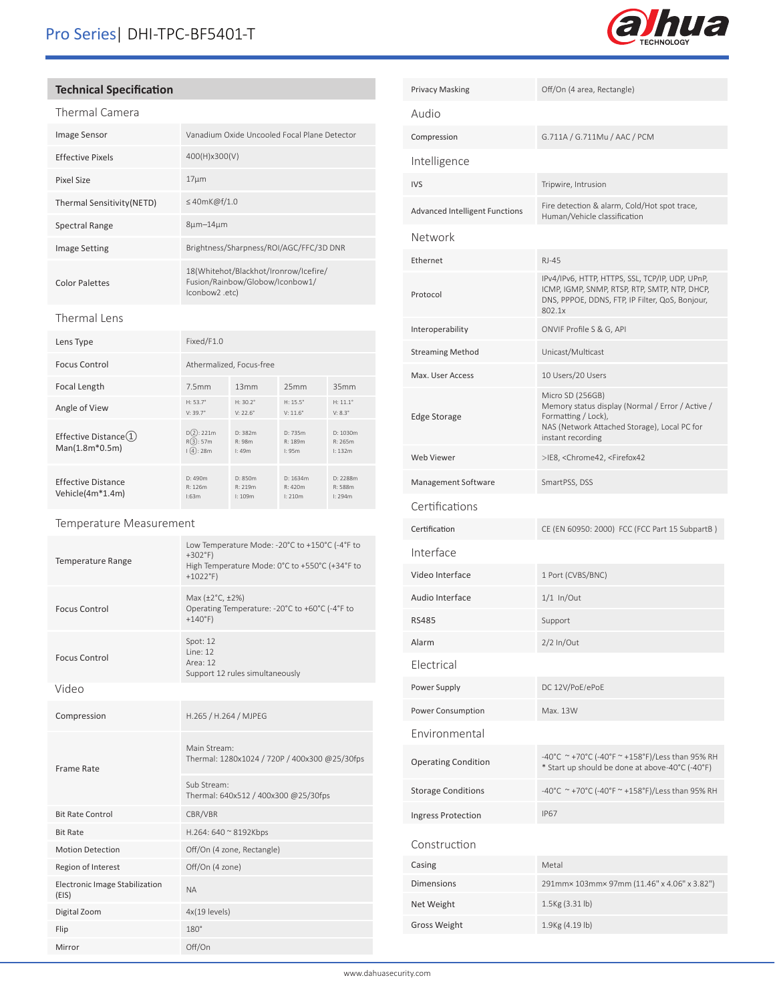

# **Technical Specification**

| rmal Car<br>1Ar | ۱era |
|-----------------|------|

| ם רחווה. במונדדת           |                                                                                            |
|----------------------------|--------------------------------------------------------------------------------------------|
| <b>Image Sensor</b>        | Vanadium Oxide Uncooled Focal Plane Detector                                               |
| Effective Pixels           | 400(H)x300(V)                                                                              |
| Pixel Size                 | $17 \mu m$                                                                                 |
| Thermal Sensitivity (NETD) | $\leq$ 40mK@f/1.0                                                                          |
| Spectral Range             | $8\mu m - 14\mu m$                                                                         |
| <b>Image Setting</b>       | Brightness/Sharpness/ROI/AGC/FFC/3D DNR                                                    |
| <b>Color Palettes</b>      | 18(Whitehot/Blackhot/Ironrow/Icefire/<br>Fusion/Rainbow/Globow/Iconbow1/<br>(conbow2 .etc. |

## Thermal Lens

| Lens Type                                                  | Fixed/F1.0                             |                                      |                                        |                                     |
|------------------------------------------------------------|----------------------------------------|--------------------------------------|----------------------------------------|-------------------------------------|
| <b>Focus Control</b>                                       | Athermalized, Focus-free               |                                      |                                        |                                     |
| Focal Length                                               | 7.5mm                                  | 13mm                                 | 25mm                                   | 35mm                                |
| Angle of View                                              | $H: 53.7^{\circ}$<br>$V: 39.7^{\circ}$ | $H: 30.2^{\circ}$<br>$V: 22.6^\circ$ | $H: 15.5^{\circ}$<br>$V: 11.6^{\circ}$ | $H: 11.1^{\circ}$<br>$V: 8.3^\circ$ |
| Effective Distance $(1)$<br>Man(1.8m*0.5m)                 | D(2): 221m<br>R(3):57m<br>(4):28m      | D: 382m<br>R: 98m<br>1:49m           | D: 735m<br>R: 189m<br>1:95m            | D: 1030m<br>R: 265m<br>1:132m       |
| <b>Effective Distance</b><br>Vehicle(4m <sup>*</sup> 1.4m) | D: 490m<br>R: 126m<br>1:63m            | D: 850m<br>R: 219m<br>1:109m         | D: 1634m<br>R: 420m<br>1:210m          | D: 2288m<br>R: 588m<br>1:294m       |

## Temperature Measurement

| <b>Temperature Range</b>                       | Low Temperature Mode: -20°C to +150°C (-4°F to<br>$+302$ °F)<br>High Temperature Mode: 0°C to +550°C (+34°F to<br>$+1022^{\circ}F$ |
|------------------------------------------------|------------------------------------------------------------------------------------------------------------------------------------|
| <b>Focus Control</b>                           | Max (±2°C, ±2%)<br>Operating Temperature: -20°C to +60°C (-4°F to<br>$+140^{\circ}F$                                               |
| <b>Focus Control</b>                           | Spot: 12<br>line: 12<br>Area: 12<br>Support 12 rules simultaneously                                                                |
| Video                                          |                                                                                                                                    |
| Compression                                    | H.265 / H.264 / MJPEG                                                                                                              |
| Frame Rate                                     | Main Stream:<br>Thermal: 1280x1024 / 720P / 400x300 @25/30fps                                                                      |
|                                                | Sub Stream:<br>Thermal: 640x512 / 400x300 @25/30fps                                                                                |
| <b>Bit Rate Control</b>                        | CBR/VBR                                                                                                                            |
| <b>Bit Rate</b>                                | H.264: 640 ~ 8192Kbps                                                                                                              |
| <b>Motion Detection</b>                        | Off/On (4 zone, Rectangle)                                                                                                         |
| Region of Interest                             | Off/On (4 zone)                                                                                                                    |
| <b>Electronic Image Stabilization</b><br>(EIS) | <b>NA</b>                                                                                                                          |
| Digital Zoom                                   | 4x(19 levels)                                                                                                                      |
| Flip                                           | $180^\circ$                                                                                                                        |
| Mirror                                         | Off/On                                                                                                                             |

| Off/On (4 area, Rectangle)                                                                                                                                       |
|------------------------------------------------------------------------------------------------------------------------------------------------------------------|
|                                                                                                                                                                  |
| G.711A / G.711Mu / AAC / PCM                                                                                                                                     |
|                                                                                                                                                                  |
| Tripwire, Intrusion                                                                                                                                              |
| Fire detection & alarm, Cold/Hot spot trace,<br>Human/Vehicle classification                                                                                     |
|                                                                                                                                                                  |
| <b>RJ-45</b>                                                                                                                                                     |
| IPv4/IPv6, HTTP, HTTPS, SSL, TCP/IP, UDP, UPnP,<br>ICMP, IGMP, SNMP, RTSP, RTP, SMTP, NTP, DHCP,<br>DNS, PPPOE, DDNS, FTP, IP Filter, QoS, Bonjour,<br>802.1x    |
| ONVIF Profile S & G, API                                                                                                                                         |
| Unicast/Multicast                                                                                                                                                |
| 10 Users/20 Users                                                                                                                                                |
| Micro SD (256GB)<br>Memory status display (Normal / Error / Active /<br>Formatting / Lock),<br>NAS (Network Attached Storage), Local PC for<br>instant recording |
| >IE8, <chrome42, <firefox42<="" td=""></chrome42,>                                                                                                               |
| SmartPSS, DSS                                                                                                                                                    |
|                                                                                                                                                                  |
| CE (EN 60950: 2000) FCC (FCC Part 15 SubpartB)                                                                                                                   |
|                                                                                                                                                                  |
| 1 Port (CVBS/BNC)                                                                                                                                                |
| $1/1$ In/Out                                                                                                                                                     |
| Support                                                                                                                                                          |
| 2/2 In/Out                                                                                                                                                       |
|                                                                                                                                                                  |
| DC 12V/PoE/ePoE                                                                                                                                                  |
| Max. 13W                                                                                                                                                         |
|                                                                                                                                                                  |
| -40°C ~+70°C (-40°F ~+158°F)/Less than 95% RH<br>* Start up should be done at above-40°C (-40°F)                                                                 |
| -40°C ~+70°C (-40°F ~ +158°F)/Less than 95% RH                                                                                                                   |
| <b>IP67</b>                                                                                                                                                      |
|                                                                                                                                                                  |
| Metal                                                                                                                                                            |
| 291mm× 103mm× 97mm (11.46" x 4.06" x 3.82")                                                                                                                      |
| 1.5Kg (3.31 lb)                                                                                                                                                  |
| 1.9Kg (4.19 lb)                                                                                                                                                  |
|                                                                                                                                                                  |